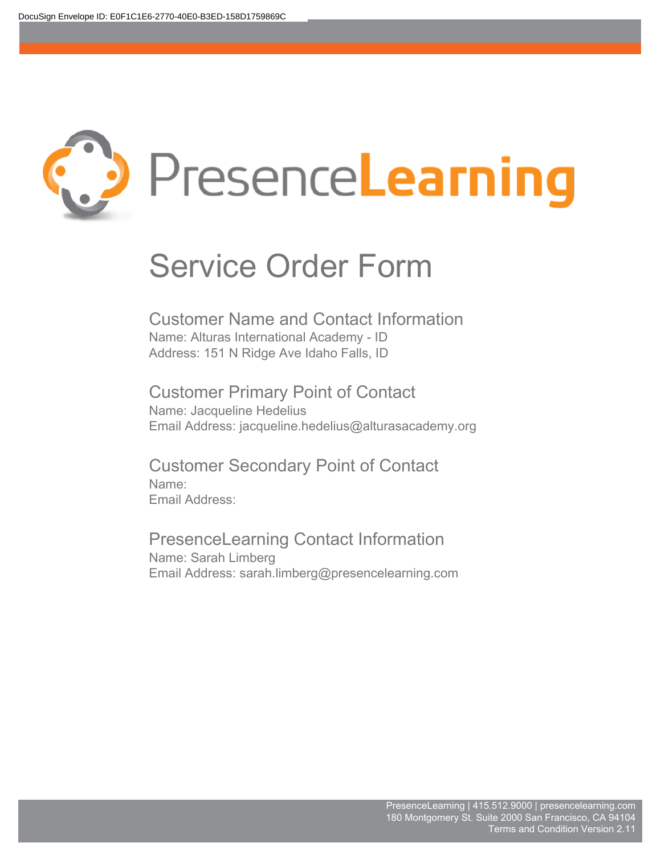

Customer Name and Contact Information Name: Alturas International Academy - ID Address: 151 N Ridge Ave Idaho Falls, ID

Customer Primary Point of Contact Name: Jacqueline Hedelius Email Address: jacqueline.hedelius@alturasacademy.org

Customer Secondary Point of Contact Name: Email Address:

PresenceLearning Contact Information Name: Sarah Limberg Email Address: sarah.limberg@presencelearning.com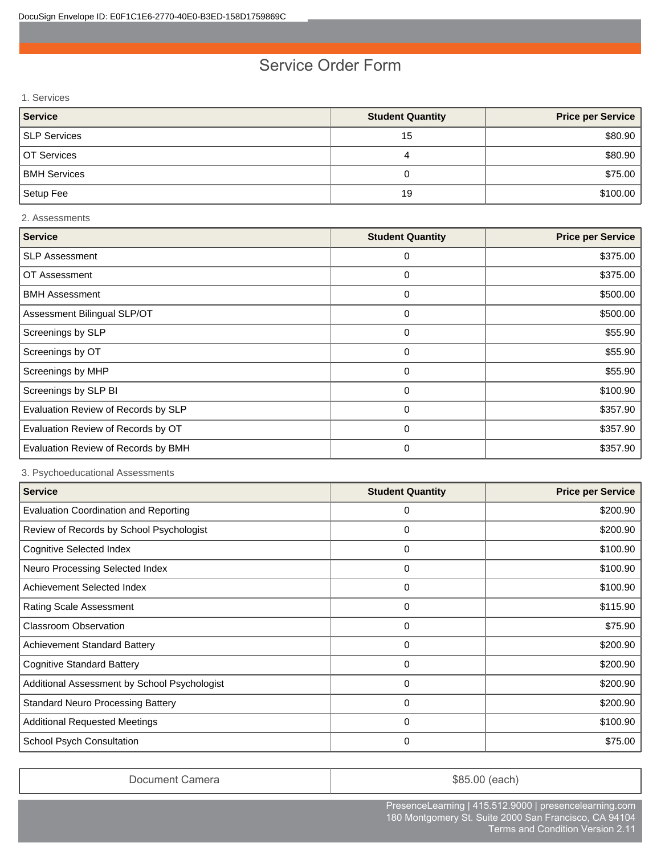1. Services

| Service             | <b>Student Quantity</b> | <b>Price per Service</b> |
|---------------------|-------------------------|--------------------------|
| SLP Services        | 15                      | \$80.90                  |
| OT Services         | 4                       | \$80.90                  |
| <b>BMH Services</b> |                         | \$75.00                  |
| Setup Fee           | 19                      | \$100.00                 |

#### 2. Assessments

| <b>Service</b>                      | <b>Student Quantity</b> | <b>Price per Service</b> |
|-------------------------------------|-------------------------|--------------------------|
| <b>SLP Assessment</b>               | 0                       | \$375.00                 |
| OT Assessment                       | 0                       | \$375.00                 |
| <b>BMH Assessment</b>               | 0                       | \$500.00                 |
| Assessment Bilingual SLP/OT         | 0                       | \$500.00                 |
| Screenings by SLP                   | 0                       | \$55.90                  |
| Screenings by OT                    | 0                       | \$55.90                  |
| Screenings by MHP                   | 0                       | \$55.90                  |
| Screenings by SLP BI                | 0                       | \$100.90                 |
| Evaluation Review of Records by SLP | 0                       | \$357.90                 |
| Evaluation Review of Records by OT  | 0                       | \$357.90                 |
| Evaluation Review of Records by BMH | 0                       | \$357.90                 |

3. Psychoeducational Assessments

| <b>Service</b>                               | <b>Student Quantity</b> | <b>Price per Service</b> |
|----------------------------------------------|-------------------------|--------------------------|
| <b>Evaluation Coordination and Reporting</b> | 0                       | \$200.90                 |
| Review of Records by School Psychologist     | 0                       | \$200.90                 |
| <b>Cognitive Selected Index</b>              | 0                       | \$100.90                 |
| Neuro Processing Selected Index              | 0                       | \$100.90                 |
| Achievement Selected Index                   | 0                       | \$100.90                 |
| <b>Rating Scale Assessment</b>               | 0                       | \$115.90                 |
| <b>Classroom Observation</b>                 | 0                       | \$75.90                  |
| <b>Achievement Standard Battery</b>          | 0                       | \$200.90                 |
| <b>Cognitive Standard Battery</b>            | 0                       | \$200.90                 |
| Additional Assessment by School Psychologist | 0                       | \$200.90                 |
| <b>Standard Neuro Processing Battery</b>     | 0                       | \$200.90                 |
| <b>Additional Requested Meetings</b>         | 0                       | \$100.90                 |
| School Psych Consultation                    | 0                       | \$75.00                  |

Document Camera **blue Camera**  $\sim$  \$85.00 (each)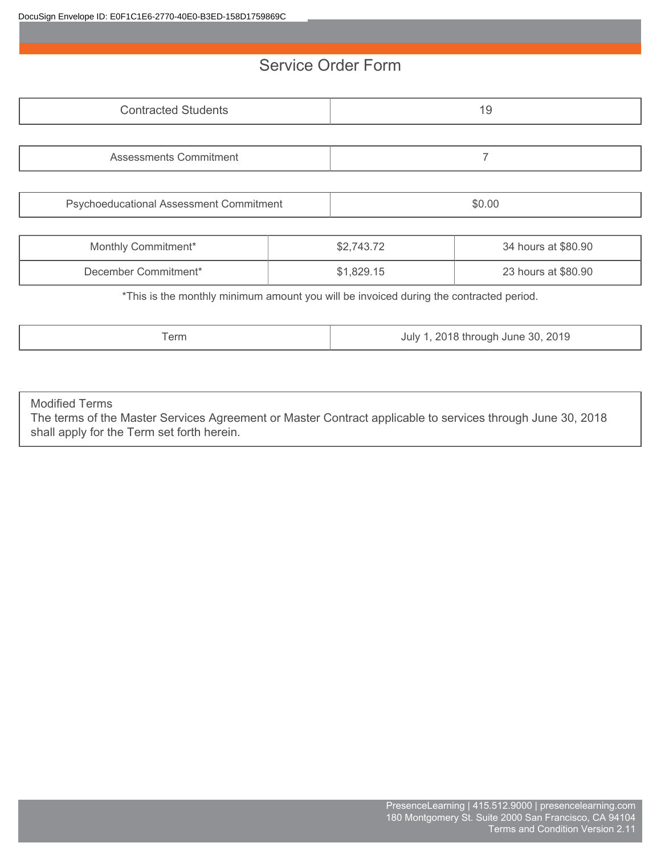| <b>Contracted Students</b>                                                             |  |            | 19                  |
|----------------------------------------------------------------------------------------|--|------------|---------------------|
|                                                                                        |  |            |                     |
| Assessments Commitment                                                                 |  |            |                     |
|                                                                                        |  |            |                     |
| Psychoeducational Assessment Commitment                                                |  |            | \$0.00              |
|                                                                                        |  |            |                     |
| Monthly Commitment*                                                                    |  | \$2,743.72 | 34 hours at \$80.90 |
| December Commitment*                                                                   |  | \$1,829.15 | 23 hours at \$80.90 |
| *This is the monthly minimum amount you will be invoiced during the contracted period. |  |            |                     |

| I erm | 2019<br>30<br>ll Ine<br>וזו זו<br>uu'<br>$\sim$ $\sim$ $\sim$ $\sim$ $\sim$ $\sim$ $\sim$<br>ຼ |
|-------|------------------------------------------------------------------------------------------------|
|-------|------------------------------------------------------------------------------------------------|

Modified Terms

The terms of the Master Services Agreement or Master Contract applicable to services through June 30, 2018 shall apply for the Term set forth herein.